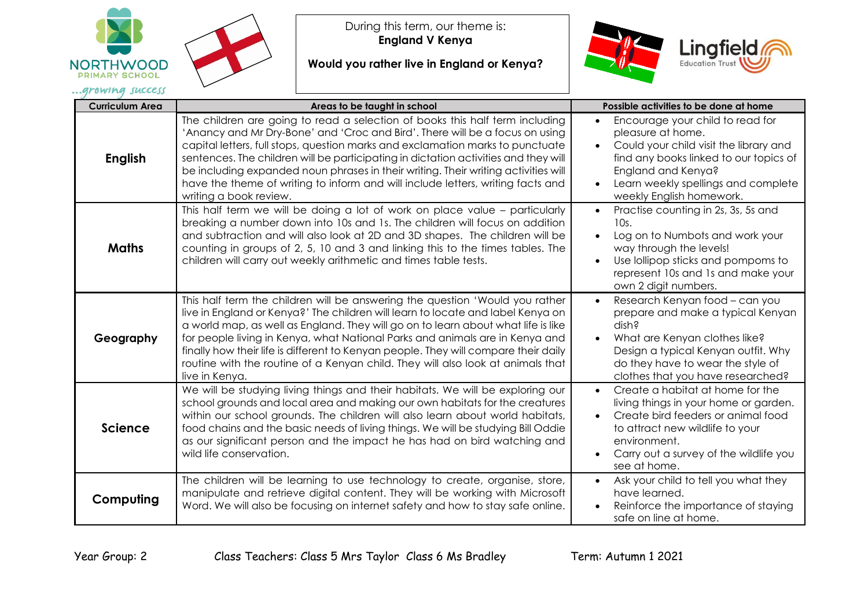



During this term, our theme is: **England V Kenya** 

**Would you rather live in England or Kenya?**



| <b>Curriculum Area</b> | Areas to be taught in school                                                                                                                                                                                                                                                                                                                                                                                                                                                                                                             | Possible activities to be done at home                                                                                                                                                                                                          |
|------------------------|------------------------------------------------------------------------------------------------------------------------------------------------------------------------------------------------------------------------------------------------------------------------------------------------------------------------------------------------------------------------------------------------------------------------------------------------------------------------------------------------------------------------------------------|-------------------------------------------------------------------------------------------------------------------------------------------------------------------------------------------------------------------------------------------------|
| <b>English</b>         | The children are going to read a selection of books this half term including<br>'Anancy and Mr Dry-Bone' and 'Croc and Bird'. There will be a focus on using<br>capital letters, full stops, question marks and exclamation marks to punctuate<br>sentences. The children will be participating in dictation activities and they will<br>be including expanded noun phrases in their writing. Their writing activities will<br>have the theme of writing to inform and will include letters, writing facts and<br>writing a book review. | Encourage your child to read for<br>$\bullet$<br>pleasure at home.<br>Could your child visit the library and<br>find any books linked to our topics of<br>England and Kenya?<br>Learn weekly spellings and complete<br>weekly English homework. |
| <b>Maths</b>           | This half term we will be doing a lot of work on place value - particularly<br>breaking a number down into 10s and 1s. The children will focus on addition<br>and subtraction and will also look at 2D and 3D shapes. The children will be<br>counting in groups of 2, 5, 10 and 3 and linking this to the times tables. The<br>children will carry out weekly arithmetic and times table tests.                                                                                                                                         | Practise counting in 2s, 3s, 5s and<br>$\bullet$<br>10s.<br>Log on to Numbots and work your<br>way through the levels!<br>Use lollipop sticks and pompoms to<br>represent 10s and 1s and make your<br>own 2 digit numbers.                      |
| Geography              | This half term the children will be answering the question 'Would you rather<br>live in England or Kenya?' The children will learn to locate and label Kenya on<br>a world map, as well as England. They will go on to learn about what life is like<br>for people living in Kenya, what National Parks and animals are in Kenya and<br>finally how their life is different to Kenyan people. They will compare their daily<br>routine with the routine of a Kenyan child. They will also look at animals that<br>live in Kenya.         | Research Kenyan food - can you<br>$\bullet$<br>prepare and make a typical Kenyan<br>dish?<br>What are Kenyan clothes like?<br>Design a typical Kenyan outfit. Why<br>do they have to wear the style of<br>clothes that you have researched?     |
| Science                | We will be studying living things and their habitats. We will be exploring our<br>school grounds and local area and making our own habitats for the creatures<br>within our school grounds. The children will also learn about world habitats,<br>food chains and the basic needs of living things. We will be studying Bill Oddie<br>as our significant person and the impact he has had on bird watching and<br>wild life conservation.                                                                                                | Create a habitat at home for the<br>living things in your home or garden.<br>Create bird feeders or animal food<br>to attract new wildlife to your<br>environment.<br>Carry out a survey of the wildlife you<br>see at home.                    |
| Computing              | The children will be learning to use technology to create, organise, store,<br>manipulate and retrieve digital content. They will be working with Microsoft<br>Word. We will also be focusing on internet safety and how to stay safe online.                                                                                                                                                                                                                                                                                            | Ask your child to tell you what they<br>have learned.<br>Reinforce the importance of staying<br>safe on line at home.                                                                                                                           |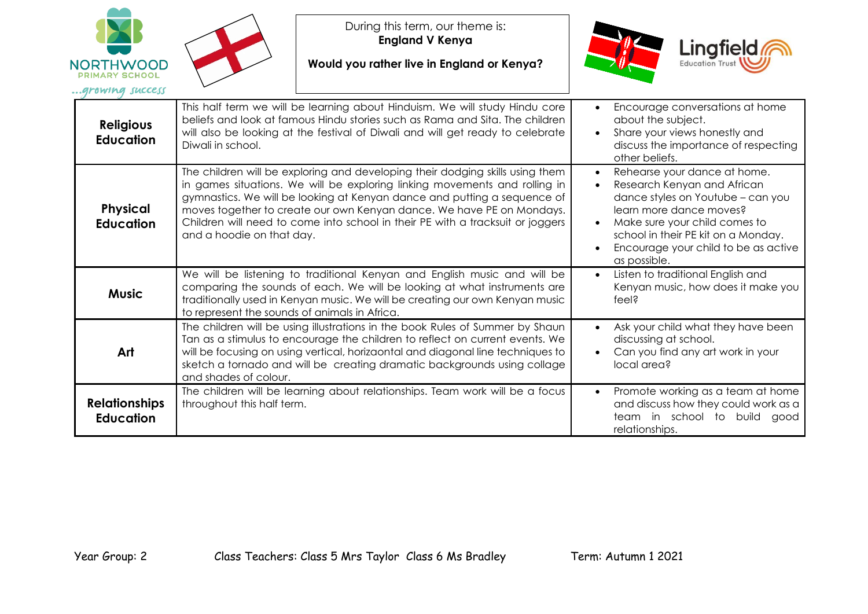

During this term, our theme is: **England V Kenya** 

**Would you rather live in England or Kenya?**



| <b>Religious</b><br><b>Education</b>     | This half term we will be learning about Hinduism. We will study Hindu core<br>beliefs and look at famous Hindu stories such as Rama and Sita. The children<br>will also be looking at the festival of Diwali and will get ready to celebrate<br>Diwali in school.                                                                                                                                                              | Encourage conversations at home<br>about the subject.<br>Share your views honestly and<br>$\bullet$<br>discuss the importance of respecting<br>other beliefs.                                                                                               |
|------------------------------------------|---------------------------------------------------------------------------------------------------------------------------------------------------------------------------------------------------------------------------------------------------------------------------------------------------------------------------------------------------------------------------------------------------------------------------------|-------------------------------------------------------------------------------------------------------------------------------------------------------------------------------------------------------------------------------------------------------------|
| <b>Physical</b><br><b>Education</b>      | The children will be exploring and developing their dodging skills using them<br>in games situations. We will be exploring linking movements and rolling in<br>gymnastics. We will be looking at Kenyan dance and putting a sequence of<br>moves together to create our own Kenyan dance. We have PE on Mondays.<br>Children will need to come into school in their PE with a tracksuit or joggers<br>and a hoodie on that day. | Rehearse your dance at home.<br>Research Kenyan and African<br>dance styles on Youtube – can you<br>learn more dance moves?<br>Make sure your child comes to<br>school in their PE kit on a Monday.<br>Encourage your child to be as active<br>as possible. |
| <b>Music</b>                             | We will be listening to traditional Kenyan and English music and will be<br>comparing the sounds of each. We will be looking at what instruments are<br>traditionally used in Kenyan music. We will be creating our own Kenyan music<br>to represent the sounds of animals in Africa.                                                                                                                                           | Listen to traditional English and<br>$\bullet$<br>Kenyan music, how does it make you<br>feel?                                                                                                                                                               |
| Art                                      | The children will be using illustrations in the book Rules of Summer by Shaun<br>Tan as a stimulus to encourage the children to reflect on current events. We<br>will be focusing on using vertical, horizaontal and diagonal line techniques to<br>sketch a tornado and will be creating dramatic backgrounds using collage<br>and shades of colour.                                                                           | Ask your child what they have been<br>discussing at school.<br>Can you find any art work in your<br>local area?                                                                                                                                             |
| <b>Relationships</b><br><b>Education</b> | The children will be learning about relationships. Team work will be a focus<br>throughout this half term.                                                                                                                                                                                                                                                                                                                      | Promote working as a team at home<br>and discuss how they could work as a<br>team in school to build<br>good<br>relationships.                                                                                                                              |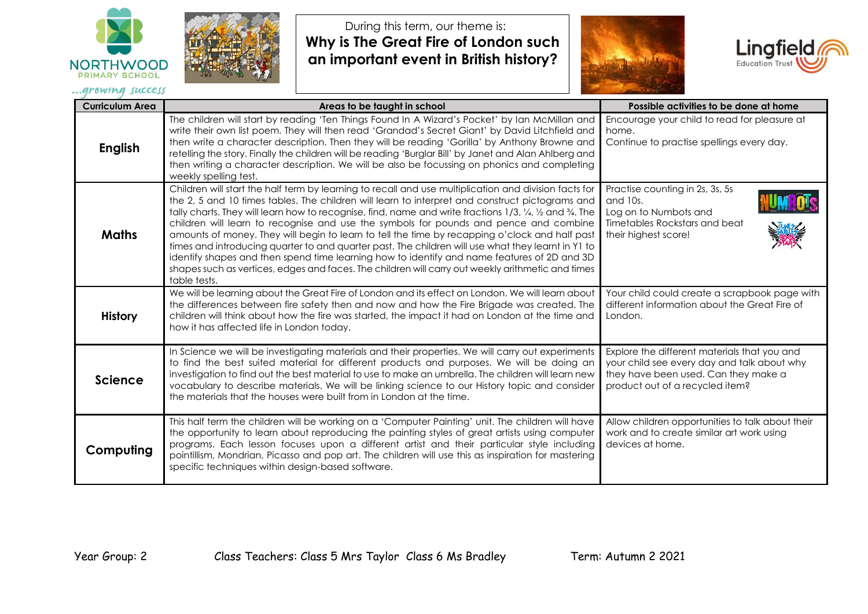



During this term, our theme is: **Why is The Great Fire of London such an important event in British history?**





| <b>Curriculum Area</b> | Areas to be taught in school                                                                                                                                                                                                                                                                                                                                                                                                                                                                                                                                                                                                                                                                                                                                                                                                               | Possible activities to be done at home                                                                                                                                 |
|------------------------|--------------------------------------------------------------------------------------------------------------------------------------------------------------------------------------------------------------------------------------------------------------------------------------------------------------------------------------------------------------------------------------------------------------------------------------------------------------------------------------------------------------------------------------------------------------------------------------------------------------------------------------------------------------------------------------------------------------------------------------------------------------------------------------------------------------------------------------------|------------------------------------------------------------------------------------------------------------------------------------------------------------------------|
| <b>English</b>         | The children will start by reading 'Ten Things Found In A Wizard's Pocket' by Ian McMillan and<br>write their own list poem. They will then read 'Grandad's Secret Giant' by David Litchfield and<br>then write a character description. Then they will be reading 'Gorilla' by Anthony Browne and<br>retelling the story. Finally the children will be reading 'Burglar Bill' by Janet and Alan Ahlberg and<br>then writing a character description. We will be also be focussing on phonics and completing<br>weekly spelling test.                                                                                                                                                                                                                                                                                                      | Encourage your child to read for pleasure at<br>home.<br>Continue to practise spellings every day.                                                                     |
| <b>Maths</b>           | Children will start the half term by learning to recall and use multiplication and division facts for<br>the 2, 5 and 10 times tables. The children will learn to interpret and construct pictograms and<br>tally charts. They will learn how to recognise, find, name and write fractions 1/3, 1/4, 1/2 and 3/4. The<br>children will learn to recognise and use the symbols for pounds and pence and combine<br>amounts of money. They will begin to learn to tell the time by recapping o'clock and half past<br>times and introducing quarter to and quarter past. The children will use what they learnt in Y1 to<br>identify shapes and then spend time learning how to identify and name features of 2D and 3D<br>shapes such as vertices, edges and faces. The children will carry out weekly arithmetic and times<br>table tests. | Practise counting in 2s, 3s, 5s<br>and 10s.<br>Log on to Numbots and<br>Timetables Rockstars and beat<br>their highest score!                                          |
| <b>History</b>         | We will be learning about the Great Fire of London and its effect on London. We will learn about<br>the differences between fire safety then and now and how the Fire Brigade was created. The<br>children will think about how the fire was started, the impact it had on London at the time and<br>how it has affected life in London today.                                                                                                                                                                                                                                                                                                                                                                                                                                                                                             | Your child could create a scrapbook page with<br>different information about the Great Fire of<br>London.                                                              |
| <b>Science</b>         | In Science we will be investigating materials and their properties. We will carry out experiments<br>to find the best suited material for different products and purposes. We will be doing an<br>investigation to find out the best material to use to make an umbrella. The children will learn new<br>vocabulary to describe materials. We will be linking science to our History topic and consider<br>the materials that the houses were built from in London at the time.                                                                                                                                                                                                                                                                                                                                                            | Explore the different materials that you and<br>your child see every day and talk about why<br>they have been used. Can they make a<br>product out of a recycled item? |
| Computing              | This half term the children will be working on a 'Computer Painting' unit. The children will have<br>the opportunity to learn about reproducing the painting styles of great artists using computer<br>programs. Each lesson focuses upon a different artist and their particular style including<br>pointillism, Mondrian, Picasso and pop art. The children will use this as inspiration for mastering<br>specific techniques within design-based software.                                                                                                                                                                                                                                                                                                                                                                              | Allow children opportunities to talk about their<br>work and to create similar art work using<br>devices at home.                                                      |